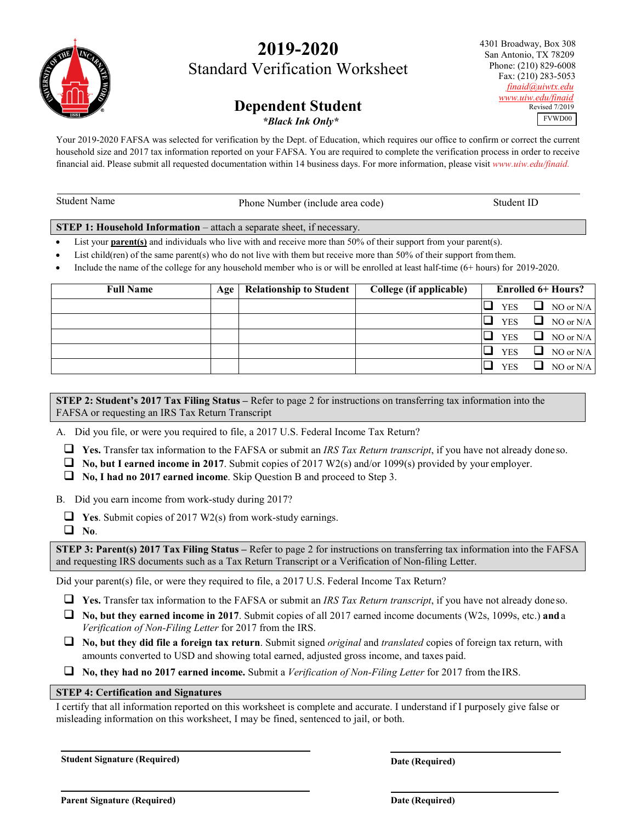# **2019-2020** Standard Verification Worksheet

# **Dependent Student**

*\*Black Ink Only\**

Your 2019-2020 FAFSA was selected for verification by the Dept. of Education, which requires our office to confirm or correct the current household size and 2017 tax information reported on your FAFSA. You are required to complete the verification process in order to receive financial aid. Please submit all requested documentation within 14 business days. For more information, please visit *[www.uiw.edu/finaid.](http://www.uiw.edu/finaid)*

| Student Name                                                                  | Phone Number (include area code) | Student ID |  |  |  |  |
|-------------------------------------------------------------------------------|----------------------------------|------------|--|--|--|--|
| <b>STEP 1: Household Information</b> – attach a separate sheet, if necessary. |                                  |            |  |  |  |  |

List your **parent(s)** and individuals who live with and receive more than 50% of their support from your parent(s).

List child(ren) of the same parent(s) who do not live with them but receive more than 50% of their support from them.

• Include the name of the college for any household member who is or will be enrolled at least half-time (6+ hours) for 2019-2020.

| <b>Full Name</b> | Age | <b>Relationship to Student</b> | College (if applicable) | <b>Enrolled 6+ Hours?</b> |                  |
|------------------|-----|--------------------------------|-------------------------|---------------------------|------------------|
|                  |     |                                |                         | <b>YES</b>                | O.<br>NO or N/A  |
|                  |     |                                |                         | <b>YES</b>                | ⊔<br>NO or N/A   |
|                  |     |                                |                         | <b>YES</b>                | ⊔<br>NO or N/A   |
|                  |     |                                |                         | <b>YES</b>                | ப<br>NO or $N/A$ |
|                  |     |                                |                         | <b>YES</b>                | ப<br>NO or $N/A$ |

**STEP 2: Student's 2017 Tax Filing Status –** Refer to page 2 for instructions on transferring tax information into the FAFSA or requesting an IRS Tax Return Transcript

A. Did you file, or were you required to file, a 2017 U.S. Federal Income Tax Return?

**Yes.** Transfer tax information to the FAFSA or submit an *IRS Tax Return transcript*, if you have not already doneso.

**No, but I earned income in 2017**. Submit copies of 2017 W2(s) and/or 1099(s) provided by your employer.

**No, I had no 2017 earned income**. Skip Question B and proceed to Step 3.

B. Did you earn income from work-study during 2017?

**Yes**. Submit copies of 2017 W2(s) from work-study earnings.

**No**.

**STEP 3: Parent(s) 2017 Tax Filing Status –** Refer to page 2 for instructions on transferring tax information into the FAFSA and requesting IRS documents such as a Tax Return Transcript or a Verification of Non-filing Letter.

Did your parent(s) file, or were they required to file, a 2017 U.S. Federal Income Tax Return?

**Yes.** Transfer tax information to the FAFSA or submit an *IRS Tax Return transcript*, if you have not already doneso.

 **No, but they earned income in 2017**. Submit copies of all 2017 earned income documents (W2s, 1099s, etc.) **and**a *Verification of Non-Filing Letter* for 2017 from the IRS.

 **No, but they did file a foreign tax return**. Submit signed *original* and *translated* copies of foreign tax return, with amounts converted to USD and showing total earned, adjusted gross income, and taxes paid.

**No, they had no 2017 earned income.** Submit a *Verification of Non-Filing Letter* for 2017 from the IRS.

#### **STEP 4: Certification and Signatures**

I certify that all information reported on this worksheet is complete and accurate. I understand if I purposely give false or misleading information on this worksheet, I may be fined, sentenced to jail, or both.

**Student Signature (Required)** 

**Date (Required)**



 4301 Broadway, Box 308 San Antonio, TX 78209 Phone: (210) 829-6008 Fax: (210) 283-5053 *[finaid@uiwtx.edu](mailto:finaid@uiwtx.edu) [www.uiw.edu/finaid](http://www.uiw.edu/finaid)*Revised 7/2019

FVWD00